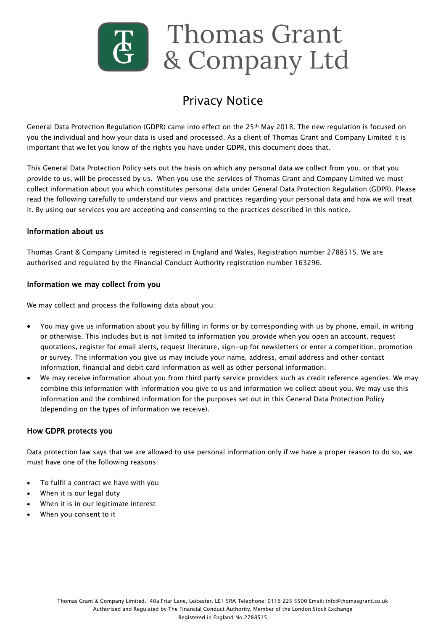

# Privacy Notice

General Data Protection Regulation (GDPR) came into effect on the 25th May 2018. The new regulation is focused on you the individual and how your data is used and processed. As a client of Thomas Grant and Company Limited it is important that we let you know of the rights you have under GDPR, this document does that.

This General Data Protection Policy sets out the basis on which any personal data we collect from you, or that you provide to us, will be processed by us. When you use the services of Thomas Grant and Company Limited we must collect information about you which constitutes personal data under General Data Protection Regulation (GDPR). Please read the following carefully to understand our views and practices regarding your personal data and how we will treat it. By using our services you are accepting and consenting to the practices described in this notice.

#### Information about us

Thomas Grant & Company Limited is registered in England and Wales, Registration number 2788515. We are authorised and regulated by the Financial Conduct Authority registration number 163296.

#### Information we may collect from you

We may collect and process the following data about you:

- You may give us information about you by filling in forms or by corresponding with us by phone, email, in writing or otherwise. This includes but is not limited to information you provide when you open an account, request quotations, register for email alerts, request literature, sign-up for newsletters or enter a competition, promotion or survey. The information you give us may include your name, address, email address and other contact information, financial and debit card information as well as other personal information.
- We may receive information about you from third party service providers such as credit reference agencies. We may combine this information with information you give to us and information we collect about you. We may use this information and the combined information for the purposes set out in this General Data Protection Policy (depending on the types of information we receive).

## How GDPR protects you

Data protection law says that we are allowed to use personal information only if we have a proper reason to do so, we must have one of the following reasons:

- To fulfil a contract we have with you
- When it is our legal duty
- When it is in our legitimate interest
- When you consent to it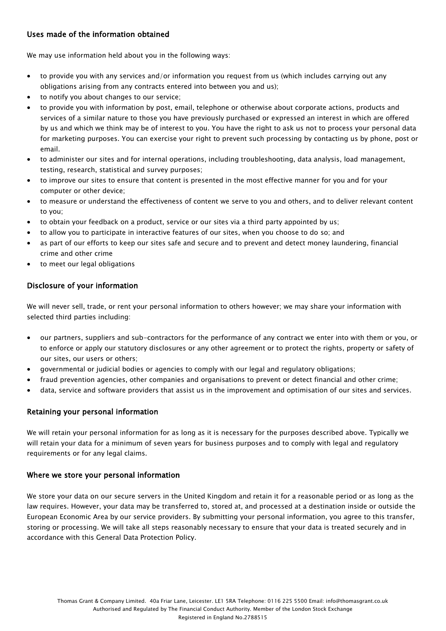# Uses made of the information obtained

We may use information held about you in the following ways:

- to provide you with any services and/or information you request from us (which includes carrying out any obligations arising from any contracts entered into between you and us);
- to notify you about changes to our service;
- to provide you with information by post, email, telephone or otherwise about corporate actions, products and services of a similar nature to those you have previously purchased or expressed an interest in which are offered by us and which we think may be of interest to you. You have the right to ask us not to process your personal data for marketing purposes. You can exercise your right to prevent such processing by contacting us by phone, post or email.
- to administer our sites and for internal operations, including troubleshooting, data analysis, load management, testing, research, statistical and survey purposes;
- to improve our sites to ensure that content is presented in the most effective manner for you and for your computer or other device;
- to measure or understand the effectiveness of content we serve to you and others, and to deliver relevant content to you;
- to obtain your feedback on a product, service or our sites via a third party appointed by us;
- to allow you to participate in interactive features of our sites, when you choose to do so; and
- as part of our efforts to keep our sites safe and secure and to prevent and detect money laundering, financial crime and other crime
- to meet our legal obligations

# Disclosure of your information

We will never sell, trade, or rent your personal information to others however; we may share your information with selected third parties including:

- our partners, suppliers and sub-contractors for the performance of any contract we enter into with them or you, or to enforce or apply our statutory disclosures or any other agreement or to protect the rights, property or safety of our sites, our users or others;
- governmental or judicial bodies or agencies to comply with our legal and regulatory obligations;
- fraud prevention agencies, other companies and organisations to prevent or detect financial and other crime;
- data, service and software providers that assist us in the improvement and optimisation of our sites and services.

## Retaining your personal information

We will retain your personal information for as long as it is necessary for the purposes described above. Typically we will retain your data for a minimum of seven years for business purposes and to comply with legal and regulatory requirements or for any legal claims.

#### Where we store your personal information

We store your data on our secure servers in the United Kingdom and retain it for a reasonable period or as long as the law requires. However, your data may be transferred to, stored at, and processed at a destination inside or outside the European Economic Area by our service providers. By submitting your personal information, you agree to this transfer, storing or processing. We will take all steps reasonably necessary to ensure that your data is treated securely and in accordance with this General Data Protection Policy.